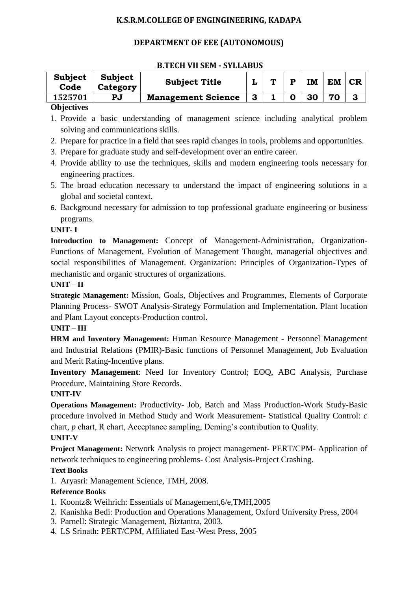### **K.S.R.M.COLLEGE OF ENGINGINEERING, KADAPA**

## **DEPARTMENT OF EEE (AUTONOMOUS)**

#### **B.TECH VII SEM - SYLLABUS**

| <b>Subject</b><br>Code | <b>Subject</b><br>Category | <b>Subject Title</b>      |              | m | D | IM | <b>EM</b> | <b>CR</b> |
|------------------------|----------------------------|---------------------------|--------------|---|---|----|-----------|-----------|
| 1525701                | PJ                         | <b>Management Science</b> | $\mathbf{3}$ |   | O | 30 | 70        |           |
| $\sim$ $\sim$          |                            |                           |              |   |   |    |           |           |

#### **Objectives**

- 1. Provide a basic understanding of management science including analytical problem solving and communications skills.
- 2. Prepare for practice in a field that sees rapid changes in tools, problems and opportunities.
- 3. Prepare for graduate study and self-development over an entire career.
- 4. Provide ability to use the techniques, skills and modern engineering tools necessary for engineering practices.
- 5. The broad education necessary to understand the impact of engineering solutions in a global and societal context.
- 6. Background necessary for admission to top professional graduate engineering or business programs.

### **UNIT- I**

**Introduction to Management:** Concept of Management-Administration, Organization-Functions of Management, Evolution of Management Thought, managerial objectives and social responsibilities of Management. Organization: Principles of Organization-Types of mechanistic and organic structures of organizations.

#### **UNIT – II**

**Strategic Management:** Mission, Goals, Objectives and Programmes, Elements of Corporate Planning Process- SWOT Analysis-Strategy Formulation and Implementation. Plant location and Plant Layout concepts-Production control.

#### **UNIT – III**

**HRM and Inventory Management:** Human Resource Management - Personnel Management and Industrial Relations (PMIR)-Basic functions of Personnel Management, Job Evaluation and Merit Rating-Incentive plans.

**Inventory Management**: Need for Inventory Control; EOQ, ABC Analysis, Purchase Procedure, Maintaining Store Records.

#### **UNIT-IV**

**Operations Management:** Productivity- Job, Batch and Mass Production-Work Study-Basic procedure involved in Method Study and Work Measurement- Statistical Quality Control: *c* chart, *p* chart, R chart, Acceptance sampling, Deming's contribution to Quality.

## **UNIT-V**

**Project Management:** Network Analysis to project management- PERT/CPM- Application of network techniques to engineering problems- Cost Analysis-Project Crashing.

#### **Text Books**

1. Aryasri: Management Science, TMH, 2008.

#### **Reference Books**

- 1. Koontz& Weihrich: Essentials of Management,6/e,TMH,2005
- 2. Kanishka Bedi: Production and Operations Management, Oxford University Press, 2004
- 3. Parnell: Strategic Management, Biztantra, 2003.
- 4. LS Srinath: PERT/CPM, Affiliated East-West Press, 2005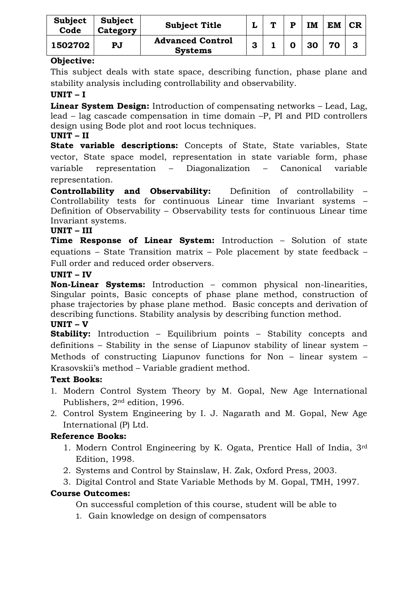| Subject<br>Code | <b>Subject</b><br>Category | <b>Subject Title</b>                      | ┚ | $\blacksquare$ | D | <b>IM</b> | EM | CR |
|-----------------|----------------------------|-------------------------------------------|---|----------------|---|-----------|----|----|
| 1502702         | $\mathbf{P} \mathbf{J}$    | <b>Advanced Control</b><br><b>Systems</b> | 3 |                |   | 30        | 70 | 3  |

## **Objective:**

This subject deals with state space, describing function, phase plane and stability analysis including controllability and observability.

### **UNIT – I**

**Linear System Design:** Introduction of compensating networks – Lead, Lag, lead – lag cascade compensation in time domain –P, PI and PID controllers design using Bode plot and root locus techniques.

## **UNIT – II**

**State variable descriptions:** Concepts of State, State variables, State vector, State space model, representation in state variable form, phase variable representation – Diagonalization – Canonical variable representation.

**Controllability and Observability:** Definition of controllability – Controllability tests for continuous Linear time Invariant systems – Definition of Observability – Observability tests for continuous Linear time Invariant systems.

### **UNIT – III**

**Time Response of Linear System:** Introduction – Solution of state equations – State Transition matrix – Pole placement by state feedback – Full order and reduced order observers.

### **UNIT – IV**

**Non-Linear Systems:** Introduction – common physical non-linearities, Singular points, Basic concepts of phase plane method, construction of phase trajectories by phase plane method. Basic concepts and derivation of describing functions. Stability analysis by describing function method.

## **UNIT – V**

**Stability:** Introduction – Equilibrium points – Stability concepts and definitions – Stability in the sense of Liapunov stability of linear system – Methods of constructing Liapunov functions for Non – linear system – Krasovskii's method – Variable gradient method.

## **Text Books:**

- 1. Modern Control System Theory by M. Gopal, New Age International Publishers, 2nd edition, 1996.
- 2. Control System Engineering by I. J. Nagarath and M. Gopal, New Age International (P) Ltd.

## **Reference Books:**

- 1. Modern Control Engineering by K. Ogata, Prentice Hall of India, 3rd Edition, 1998.
- 2. Systems and Control by Stainslaw, H. Zak, Oxford Press, 2003.
- 3. Digital Control and State Variable Methods by M. Gopal, TMH, 1997.

## **Course Outcomes:**

On successful completion of this course, student will be able to

1. Gain knowledge on design of compensators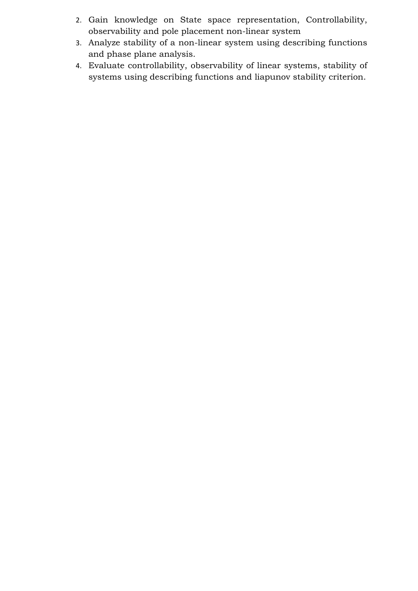- 2. Gain knowledge on State space representation, Controllability, observability and pole placement non-linear system
- 3. Analyze stability of a non-linear system using describing functions and phase plane analysis.
- 4. Evaluate controllability, observability of linear systems, stability of systems using describing functions and liapunov stability criterion.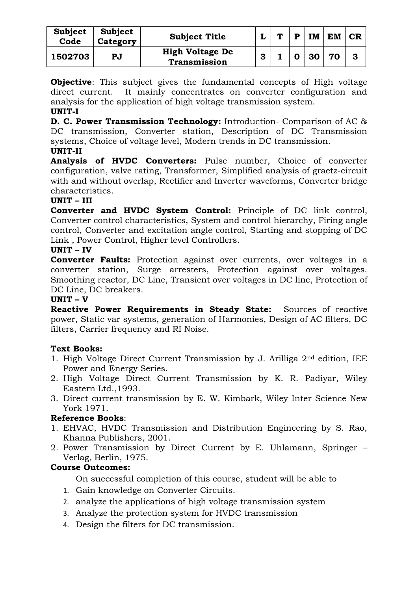| Subject<br>Code | <b>Subject</b><br>Category | <b>Subject Title</b>                   |   | <b>TN</b> | в | IM | <b>EM</b> | CR |
|-----------------|----------------------------|----------------------------------------|---|-----------|---|----|-----------|----|
| 1502703         | PJ                         | <b>High Voltage Dc</b><br>Transmission | 3 |           | O | 30 | 70        | 3  |

**Objective**: This subject gives the fundamental concepts of High voltage direct current. It mainly concentrates on converter configuration and analysis for the application of high voltage transmission system.

## **UNIT-I**

**D. C. Power Transmission Technology:** Introduction- Comparison of AC & DC transmission, Converter station, Description of DC Transmission systems, Choice of voltage level, Modern trends in DC transmission.

#### **UNIT-II**

**Analysis of HVDC Converters:** Pulse number, Choice of converter configuration, valve rating, Transformer, Simplified analysis of graetz-circuit with and without overlap, Rectifier and Inverter waveforms, Converter bridge characteristics.

#### **UNIT – III**

**Converter and HVDC System Control:** Principle of DC link control, Converter control characteristics, System and control hierarchy, Firing angle control, Converter and excitation angle control, Starting and stopping of DC Link , Power Control, Higher level Controllers.

#### **UNIT – IV**

**Converter Faults:** Protection against over currents, over voltages in a converter station, Surge arresters, Protection against over voltages. Smoothing reactor, DC Line, Transient over voltages in DC line, Protection of DC Line, DC breakers.

#### **UNIT – V**

**Reactive Power Requirements in Steady State:** Sources of reactive power, Static var systems, generation of Harmonies, Design of AC filters, DC filters, Carrier frequency and RI Noise.

#### **Text Books:**

- 1. High Voltage Direct Current Transmission by J. Arilliga 2nd edition, IEE Power and Energy Series.
- 2. High Voltage Direct Current Transmission by K. R. Padiyar, Wiley Eastern Ltd.,1993.
- 3. Direct current transmission by E. W. Kimbark, Wiley Inter Science New York 1971.

#### **Reference Books**:

- 1. EHVAC, HVDC Transmission and Distribution Engineering by S. Rao, Khanna Publishers, 2001.
- 2. Power Transmission by Direct Current by E. Uhlamann, Springer Verlag, Berlin, 1975.

#### **Course Outcomes:**

- 1. Gain knowledge on Converter Circuits.
- 2. analyze the applications of high voltage transmission system
- 3. Analyze the protection system for HVDC transmission
- 4. Design the filters for DC transmission.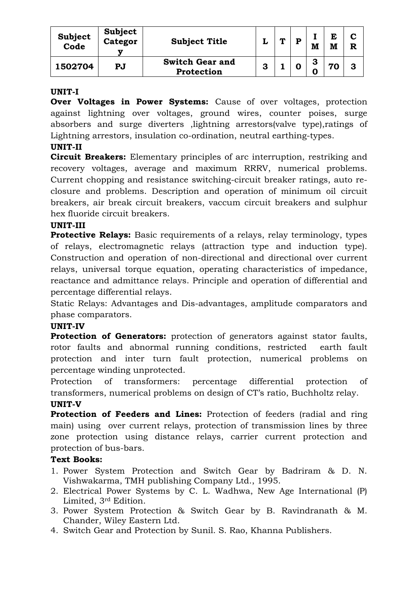| Subject<br>Code | Subject<br>Categor | <b>Subject Title</b>                 |   | ́г | D | M | E<br>M | R |
|-----------------|--------------------|--------------------------------------|---|----|---|---|--------|---|
| 1502704         | PJ                 | <b>Switch Gear and</b><br>Protection | o |    |   | o |        | 3 |

#### **UNIT-I**

**Over Voltages in Power Systems:** Cause of over voltages, protection against lightning over voltages, ground wires, counter poises, surge absorbers and surge diverters ,lightning arrestors(valve type),ratings of Lightning arrestors, insulation co-ordination, neutral earthing-types.

## **UNIT-II**

**Circuit Breakers:** Elementary principles of arc interruption, restriking and recovery voltages, average and maximum RRRV, numerical problems. Current chopping and resistance switching-circuit breaker ratings, auto reclosure and problems. Description and operation of minimum oil circuit breakers, air break circuit breakers, vaccum circuit breakers and sulphur hex fluoride circuit breakers.

## **UNIT-III**

**Protective Relays:** Basic requirements of a relays, relay terminology, types of relays, electromagnetic relays (attraction type and induction type). Construction and operation of non-directional and directional over current relays, universal torque equation, operating characteristics of impedance, reactance and admittance relays. Principle and operation of differential and percentage differential relays.

Static Relays: Advantages and Dis-advantages, amplitude comparators and phase comparators.

#### **UNIT-IV**

**Protection of Generators:** protection of generators against stator faults, rotor faults and abnormal running conditions, restricted earth fault protection and inter turn fault protection, numerical problems on percentage winding unprotected.

Protection of transformers: percentage differential protection of transformers, numerical problems on design of CT's ratio, Buchholtz relay.

## **UNIT-V**

**Protection of Feeders and Lines:** Protection of feeders (radial and ring main) using over current relays, protection of transmission lines by three zone protection using distance relays, carrier current protection and protection of bus-bars.

## **Text Books:**

- 1. Power System Protection and Switch Gear by Badriram & D. N. Vishwakarma, TMH publishing Company Ltd., 1995.
- 2. Electrical Power Systems by C. L. Wadhwa, New Age International (P) Limited, 3rd Edition.
- 3. Power System Protection & Switch Gear by B. Ravindranath & M. Chander, Wiley Eastern Ltd.
- 4. Switch Gear and Protection by Sunil. S. Rao, Khanna Publishers.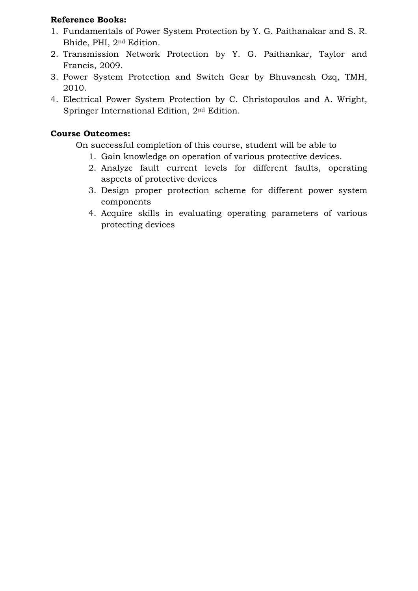## **Reference Books:**

- 1. Fundamentals of Power System Protection by Y. G. Paithanakar and S. R. Bhide, PHI, 2nd Edition.
- 2. Transmission Network Protection by Y. G. Paithankar, Taylor and Francis, 2009.
- 3. Power System Protection and Switch Gear by Bhuvanesh Ozq, TMH, 2010.
- 4. Electrical Power System Protection by C. Christopoulos and A. Wright, Springer International Edition, 2nd Edition.

# **Course Outcomes:**

- 1. Gain knowledge on operation of various protective devices.
- 2. Analyze fault current levels for different faults, operating aspects of protective devices
- 3. Design proper protection scheme for different power system components
- 4. Acquire skills in evaluating operating parameters of various protecting devices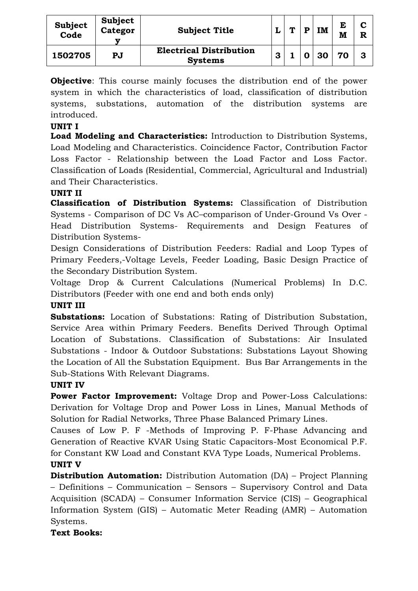| <b>Subject</b><br>Code | Subject<br>Categor | <b>Subject Title</b>                             | ◡ | m | D | IM | E<br>M | R  |
|------------------------|--------------------|--------------------------------------------------|---|---|---|----|--------|----|
| 1502705                | PJ                 | <b>Electrical Distribution</b><br><b>Systems</b> | 3 |   |   | 30 | 70     | -3 |

**Objective**: This course mainly focuses the distribution end of the power system in which the characteristics of load, classification of distribution systems, substations, automation of the distribution systems are introduced.

## **UNIT I**

**Load Modeling and Characteristics:** Introduction to Distribution Systems, Load Modeling and Characteristics. Coincidence Factor, Contribution Factor Loss Factor - Relationship between the Load Factor and Loss Factor. Classification of Loads (Residential, Commercial, Agricultural and Industrial) and Their Characteristics.

# **UNIT II**

**Classification of Distribution Systems:** Classification of Distribution Systems - Comparison of DC Vs AC–comparison of Under-Ground Vs Over - Head Distribution Systems- Requirements and Design Features of Distribution Systems-

Design Considerations of Distribution Feeders: Radial and Loop Types of Primary Feeders,-Voltage Levels, Feeder Loading, Basic Design Practice of the Secondary Distribution System.

Voltage Drop & Current Calculations (Numerical Problems) In D.C. Distributors (Feeder with one end and both ends only)

# **UNIT III**

**Substations:** Location of Substations: Rating of Distribution Substation, Service Area within Primary Feeders. Benefits Derived Through Optimal Location of Substations. Classification of Substations: Air Insulated Substations - Indoor & Outdoor Substations: Substations Layout Showing the Location of All the Substation Equipment. Bus Bar Arrangements in the Sub-Stations With Relevant Diagrams.

## **UNIT IV**

**Power Factor Improvement:** Voltage Drop and Power-Loss Calculations: Derivation for Voltage Drop and Power Loss in Lines, Manual Methods of Solution for Radial Networks, Three Phase Balanced Primary Lines.

Causes of Low P. F -Methods of Improving P. F-Phase Advancing and Generation of Reactive KVAR Using Static Capacitors-Most Economical P.F. for Constant KW Load and Constant KVA Type Loads, Numerical Problems.

# **UNIT V**

**Distribution Automation:** Distribution Automation (DA) – Project Planning – Definitions – Communication – Sensors – Supervisory Control and Data Acquisition (SCADA) – Consumer Information Service (CIS) – Geographical Information System (GIS) – Automatic Meter Reading (AMR) – Automation Systems.

## **Text Books:**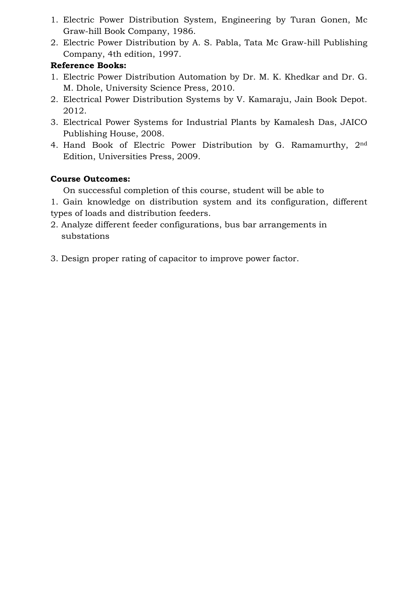- 1. Electric Power Distribution System, Engineering by Turan Gonen, Mc Graw-hill Book Company, 1986.
- 2. Electric Power Distribution by A. S. Pabla, Tata Mc Graw-hill Publishing Company, 4th edition, 1997.

# **Reference Books:**

- 1. Electric Power Distribution Automation by Dr. M. K. Khedkar and Dr. G. M. Dhole, University Science Press, 2010.
- 2. Electrical Power Distribution Systems by V. Kamaraju, Jain Book Depot. 2012.
- 3. Electrical Power Systems for Industrial Plants by Kamalesh Das, JAICO Publishing House, 2008.
- 4. Hand Book of Electric Power Distribution by G. Ramamurthy, 2nd Edition, Universities Press, 2009.

# **Course Outcomes:**

On successful completion of this course, student will be able to

1. Gain knowledge on distribution system and its configuration, different types of loads and distribution feeders.

- 2. Analyze different feeder configurations, bus bar arrangements in substations
- 3. Design proper rating of capacitor to improve power factor.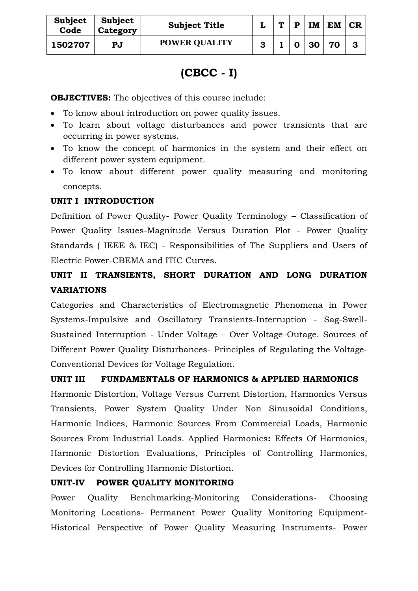| Subject<br>Code | Subject<br>Category | <b>Subject Title</b> |   | $\mathbf{r}$ | P | IM | <b>EM</b> | CR |
|-----------------|---------------------|----------------------|---|--------------|---|----|-----------|----|
| 1502707         | PJ                  | <b>POWER QUALITY</b> | 3 |              | O | 30 | 70        |    |

# **(CBCC - I)**

**OBJECTIVES:** The objectives of this course include:

- To know about introduction on power quality issues.
- To learn about voltage disturbances and power transients that are occurring in power systems.
- To know the concept of harmonics in the system and their effect on different power system equipment.
- To know about different power quality measuring and monitoring concepts.

### **UNIT I INTRODUCTION**

Definition of Power Quality- Power Quality Terminology – Classification of Power Quality Issues-Magnitude Versus Duration Plot - Power Quality Standards ( IEEE & IEC) - Responsibilities of The Suppliers and Users of Electric Power-CBEMA and ITIC Curves.

# **UNIT II TRANSIENTS, SHORT DURATION AND LONG DURATION VARIATIONS**

Categories and Characteristics of Electromagnetic Phenomena in Power Systems-Impulsive and Oscillatory Transients-Interruption - Sag-Swell-Sustained Interruption - Under Voltage – Over Voltage–Outage. Sources of Different Power Quality Disturbances- Principles of Regulating the Voltage-Conventional Devices for Voltage Regulation.

## **UNIT III FUNDAMENTALS OF HARMONICS & APPLIED HARMONICS**

Harmonic Distortion, Voltage Versus Current Distortion, Harmonics Versus Transients, Power System Quality Under Non Sinusoidal Conditions, Harmonic Indices, Harmonic Sources From Commercial Loads, Harmonic Sources From Industrial Loads. Applied Harmonics**:** Effects Of Harmonics, Harmonic Distortion Evaluations, Principles of Controlling Harmonics, Devices for Controlling Harmonic Distortion.

## **UNIT-IV POWER QUALITY MONITORING**

Power Quality Benchmarking-Monitoring Considerations- Choosing Monitoring Locations- Permanent Power Quality Monitoring Equipment-Historical Perspective of Power Quality Measuring Instruments- Power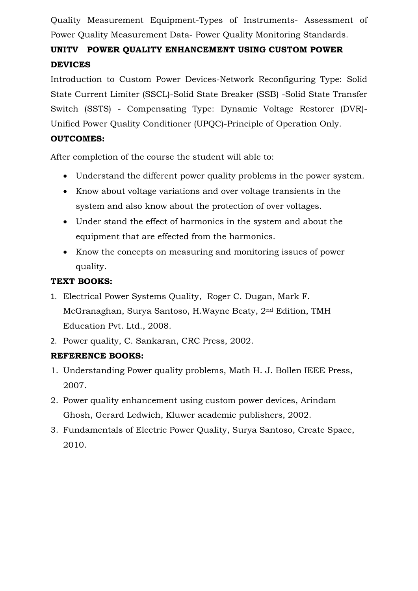Quality Measurement Equipment-Types of Instruments- Assessment of Power Quality Measurement Data- Power Quality Monitoring Standards.

# **UNITV POWER QUALITY ENHANCEMENT USING CUSTOM POWER DEVICES**

Introduction to Custom Power Devices-Network Reconfiguring Type: Solid State Current Limiter (SSCL)-Solid State Breaker (SSB) -Solid State Transfer Switch (SSTS) - Compensating Type: Dynamic Voltage Restorer (DVR)- Unified Power Quality Conditioner (UPQC)-Principle of Operation Only.

# **OUTCOMES:**

After completion of the course the student will able to:

- Understand the different power quality problems in the power system.
- Know about voltage variations and over voltage transients in the system and also know about the protection of over voltages.
- Under stand the effect of harmonics in the system and about the equipment that are effected from the harmonics.
- Know the concepts on measuring and monitoring issues of power quality.

# **TEXT BOOKS:**

- 1. Electrical Power Systems Quality, Roger C. Dugan, Mark F. McGranaghan, Surya Santoso, H.Wayne Beaty, 2nd Edition, TMH Education Pvt. Ltd., 2008.
- 2. Power quality, C. Sankaran, CRC Press, 2002.

# **REFERENCE BOOKS:**

- 1. Understanding Power quality problems, Math H. J. Bollen IEEE Press, 2007.
- 2. Power quality enhancement using custom power devices, Arindam Ghosh, Gerard Ledwich, Kluwer academic publishers, 2002.
- 3. Fundamentals of Electric Power Quality, Surya Santoso, Create Space, 2010.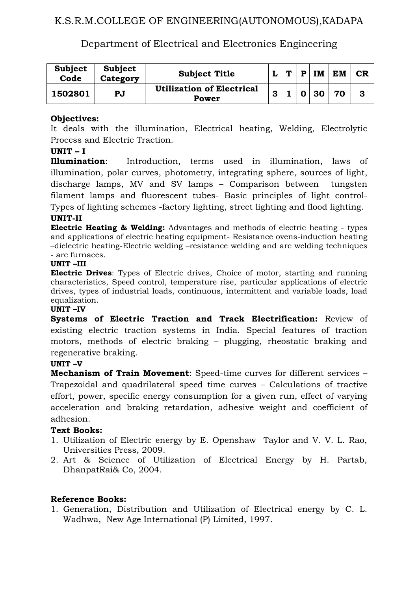# K.S.R.M.COLLEGE OF ENGINEERING(AUTONOMOUS),KADAPA

# Department of Electrical and Electronics Engineering

| <b>Subject</b><br>Code | <b>Subject</b><br>Category | <b>Subject Title</b>                      |   | $\mathbf{r}$ | D            | IM              | <b>EM</b> | CR |
|------------------------|----------------------------|-------------------------------------------|---|--------------|--------------|-----------------|-----------|----|
| 1502801                | PJ                         | <b>Utilization of Electrical</b><br>Power | 3 |              | $\mathbf{O}$ | 30 <sub>1</sub> | 70        |    |

### **Objectives:**

It deals with the illumination, Electrical heating, Welding, Electrolytic Process and Electric Traction.

#### **UNIT – I**

**Illumination**: Introduction, terms used in illumination, laws of illumination, polar curves, photometry, integrating sphere, sources of light, discharge lamps, MV and SV lamps – Comparison between tungsten filament lamps and fluorescent tubes- Basic principles of light control-Types of lighting schemes -factory lighting, street lighting and flood lighting.

#### **UNIT-II**

**Electric Heating & Welding:** Advantages and methods of electric heating - types and applications of electric heating equipment- Resistance ovens-induction heating –dielectric heating-Electric welding –resistance welding and arc welding techniques - arc furnaces.

#### **UNIT –III**

**Electric Drives**: Types of Electric drives, Choice of motor, starting and running characteristics, Speed control, temperature rise, particular applications of electric drives, types of industrial loads, continuous, intermittent and variable loads, load equalization.

#### **UNIT –IV**

**Systems of Electric Traction and Track Electrification:** Review of existing electric traction systems in India. Special features of traction motors, methods of electric braking – plugging, rheostatic braking and regenerative braking.

#### **UNIT –V**

**Mechanism of Train Movement**: Speed-time curves for different services – Trapezoidal and quadrilateral speed time curves – Calculations of tractive effort, power, specific energy consumption for a given run, effect of varying acceleration and braking retardation, adhesive weight and coefficient of adhesion.

#### **Text Books:**

- 1. Utilization of Electric energy by E. Openshaw Taylor and V. V. L. Rao, Universities Press, 2009.
- 2. Art & Science of Utilization of Electrical Energy by H. Partab, DhanpatRai& Co, 2004.

#### **Reference Books:**

1. Generation, Distribution and Utilization of Electrical energy by C. L. Wadhwa, New Age International (P) Limited, 1997.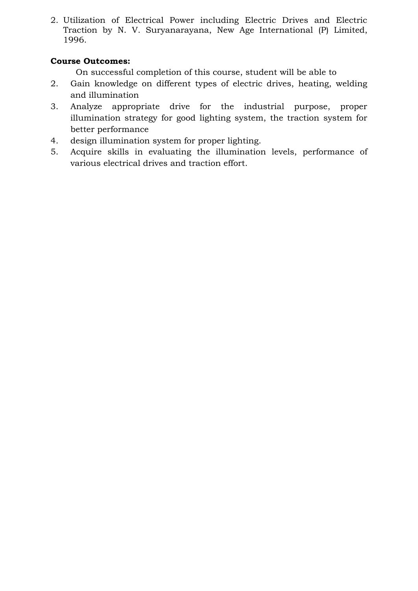2. Utilization of Electrical Power including Electric Drives and Electric Traction by N. V. Suryanarayana, New Age International (P) Limited, 1996.

# **Course Outcomes:**

- 2. Gain knowledge on different types of electric drives, heating, welding and illumination
- 3. Analyze appropriate drive for the industrial purpose, proper illumination strategy for good lighting system, the traction system for better performance
- 4. design illumination system for proper lighting.
- 5. Acquire skills in evaluating the illumination levels, performance of various electrical drives and traction effort.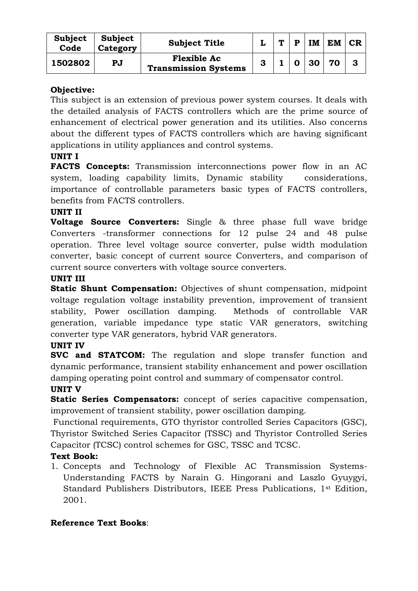| Subject<br>Code | Subject<br>Category | <b>Subject Title</b>                              |   | m | D | IM | <b>EM</b> | CR |
|-----------------|---------------------|---------------------------------------------------|---|---|---|----|-----------|----|
| 1502802         | PJ                  | <b>Flexible Ac</b><br><b>Transmission Systems</b> | 3 |   |   | 30 | 70        |    |

## **Objective:**

This subject is an extension of previous power system courses. It deals with the detailed analysis of FACTS controllers which are the prime source of enhancement of electrical power generation and its utilities. Also concerns about the different types of FACTS controllers which are having significant applications in utility appliances and control systems.

# **UNIT I**

**FACTS Concepts:** Transmission interconnections power flow in an AC system, loading capability limits, Dynamic stability considerations, importance of controllable parameters basic types of FACTS controllers, benefits from FACTS controllers.

### **UNIT II**

**Voltage Source Converters:** Single & three phase full wave bridge Converters -transformer connections for 12 pulse 24 and 48 pulse operation. Three level voltage source converter, pulse width modulation converter, basic concept of current source Converters, and comparison of current source converters with voltage source converters.

### **UNIT III**

**Static Shunt Compensation:** Objectives of shunt compensation, midpoint voltage regulation voltage instability prevention, improvement of transient stability, Power oscillation damping. Methods of controllable VAR generation, variable impedance type static VAR generators, switching converter type VAR generators, hybrid VAR generators.

## **UNIT IV**

**SVC and STATCOM:** The regulation and slope transfer function and dynamic performance, transient stability enhancement and power oscillation damping operating point control and summary of compensator control.

#### **UNIT V**

**Static Series Compensators:** concept of series capacitive compensation, improvement of transient stability, power oscillation damping.

Functional requirements, GTO thyristor controlled Series Capacitors (GSC), Thyristor Switched Series Capacitor (TSSC) and Thyristor Controlled Series Capacitor (TCSC) control schemes for GSC, TSSC and TCSC.

## **Text Book:**

1. Concepts and Technology of Flexible AC Transmission Systems-Understanding FACTS by Narain G. Hingorani and Laszlo Gyuygyi, Standard Publishers Distributors, IEEE Press Publications, 1st Edition, 2001.

## **Reference Text Books**: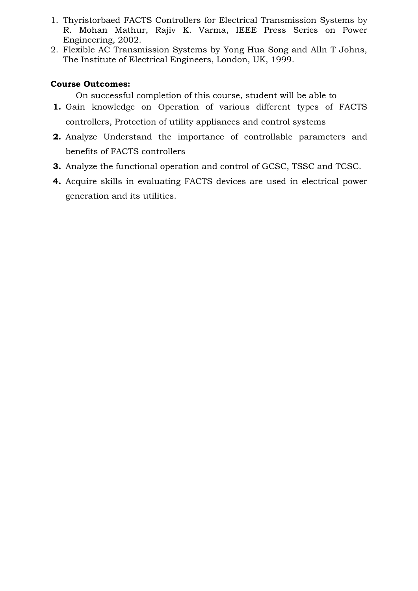- 1. Thyristorbaed FACTS Controllers for Electrical Transmission Systems by R. Mohan Mathur, Rajiv K. Varma, IEEE Press Series on Power Engineering, 2002.
- 2. Flexible AC Transmission Systems by Yong Hua Song and Alln T Johns, The Institute of Electrical Engineers, London, UK, 1999.

## **Course Outcomes:**

- **1.** Gain knowledge on Operation of various different types of FACTS controllers, Protection of utility appliances and control systems
- **2.** Analyze Understand the importance of controllable parameters and benefits of FACTS controllers
- **3.** Analyze the functional operation and control of GCSC, TSSC and TCSC.
- **4.** Acquire skills in evaluating FACTS devices are used in electrical power generation and its utilities.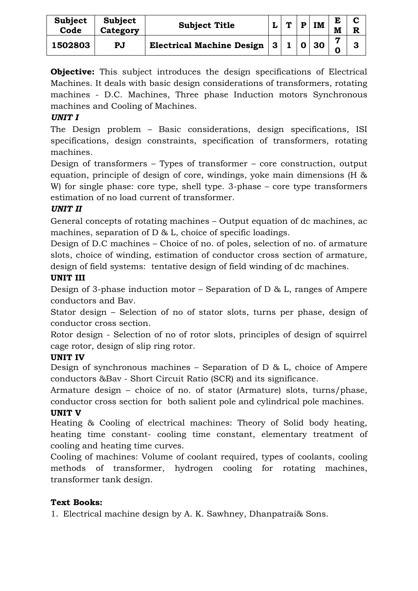| Subject<br>Code | <b>Subject</b><br>Category | <b>Subject Title</b>             |              | <i>.</i> | D | <b>IM</b> | M | R |
|-----------------|----------------------------|----------------------------------|--------------|----------|---|-----------|---|---|
| 1502803         | PJ                         | <b>Electrical Machine Design</b> | $\mathbf{3}$ |          |   | 30        |   |   |

**Objective:** This subject introduces the design specifications of Electrical Machines. It deals with basic design considerations of transformers, rotating machines - D.C. Machines, Three phase Induction motors Synchronous machines and Cooling of Machines.

# *UNIT I*

The Design problem – Basic considerations, design specifications, ISI specifications, design constraints, specification of transformers, rotating machines.

Design of transformers – Types of transformer – core construction, output equation, principle of design of core, windings, yoke main dimensions (H & W) for single phase: core type, shell type. 3-phase – core type transformers estimation of no load current of transformer.

# *UNIT II*

General concepts of rotating machines – Output equation of dc machines, ac machines, separation of D & L, choice of specific loadings.

Design of D.C machines – Choice of no. of poles, selection of no. of armature slots, choice of winding, estimation of conductor cross section of armature, design of field systems: tentative design of field winding of dc machines.

# **UNIT III**

Design of 3-phase induction motor – Separation of D & L, ranges of Ampere conductors and Bav.

Stator design – Selection of no of stator slots, turns per phase, design of conductor cross section.

Rotor design - Selection of no of rotor slots, principles of design of squirrel cage rotor, design of slip ring rotor.

# **UNIT IV**

Design of synchronous machines – Separation of D & L, choice of Ampere conductors &Bav - Short Circuit Ratio (SCR) and its significance.

Armature design – choice of no. of stator (Armature) slots, turns/phase, conductor cross section for both salient pole and cylindrical pole machines.

## **UNIT V**

Heating & Cooling of electrical machines: Theory of Solid body heating, heating time constant- cooling time constant, elementary treatment of cooling and heating time curves.

Cooling of machines: Volume of coolant required, types of coolants, cooling methods of transformer, hydrogen cooling for rotating machines, transformer tank design.

# **Text Books:**

1. Electrical machine design by A. K. Sawhney, Dhanpatrai& Sons.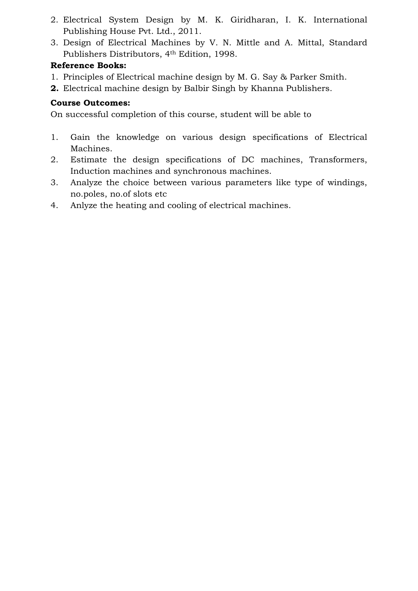- 2. Electrical System Design by M. K. Giridharan, I. K. International Publishing House Pvt. Ltd., 2011.
- 3. Design of Electrical Machines by V. N. Mittle and A. Mittal, Standard Publishers Distributors, 4th Edition, 1998.

# **Reference Books:**

- 1. Principles of Electrical machine design by M. G. Say & Parker Smith.
- **2.** Electrical machine design by Balbir Singh by Khanna Publishers.

# **Course Outcomes:**

- 1. Gain the knowledge on various design specifications of Electrical Machines.
- 2. Estimate the design specifications of DC machines, Transformers, Induction machines and synchronous machines.
- 3. Analyze the choice between various parameters like type of windings, no.poles, no.of slots etc
- 4. Anlyze the heating and cooling of electrical machines.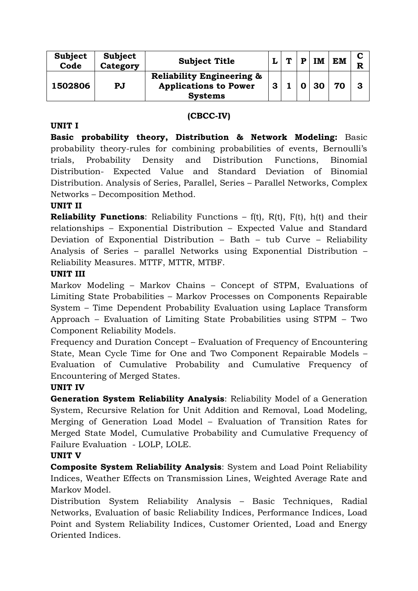| Subject<br>Code | Subject<br>Category | <b>Subject Title</b>                                                 |   | $\blacksquare$ | <b>IM</b> | <b>EM</b> | R |
|-----------------|---------------------|----------------------------------------------------------------------|---|----------------|-----------|-----------|---|
| 1502806         | <b>PJ</b>           | <b>Reliability Engineering &amp;</b><br><b>Applications to Power</b> | 3 |                | 30        | 70        | 3 |
|                 |                     | <b>Systems</b>                                                       |   |                |           |           |   |

### **(CBCC-IV)**

#### **UNIT I**

**Basic probability theory, Distribution & Network Modeling:** Basic probability theory-rules for combining probabilities of events, Bernoulli's trials, Probability Density and Distribution Functions, Binomial Distribution- Expected Value and Standard Deviation of Binomial Distribution. Analysis of Series, Parallel, Series – Parallel Networks, Complex Networks – Decomposition Method.

#### **UNIT II**

**Reliability Functions**: Reliability Functions – f(t), R(t), F(t), h(t) and their relationships – Exponential Distribution – Expected Value and Standard Deviation of Exponential Distribution – Bath – tub Curve – Reliability Analysis of Series – parallel Networks using Exponential Distribution – Reliability Measures. MTTF, MTTR, MTBF.

#### **UNIT III**

Markov Modeling – Markov Chains – Concept of STPM, Evaluations of Limiting State Probabilities – Markov Processes on Components Repairable System – Time Dependent Probability Evaluation using Laplace Transform Approach – Evaluation of Limiting State Probabilities using STPM – Two Component Reliability Models.

Frequency and Duration Concept – Evaluation of Frequency of Encountering State, Mean Cycle Time for One and Two Component Repairable Models – Evaluation of Cumulative Probability and Cumulative Frequency of Encountering of Merged States.

#### **UNIT IV**

**Generation System Reliability Analysis**: Reliability Model of a Generation System, Recursive Relation for Unit Addition and Removal, Load Modeling, Merging of Generation Load Model – Evaluation of Transition Rates for Merged State Model, Cumulative Probability and Cumulative Frequency of Failure Evaluation - LOLP, LOLE.

#### **UNIT V**

**Composite System Reliability Analysis**: System and Load Point Reliability Indices, Weather Effects on Transmission Lines, Weighted Average Rate and Markov Model.

Distribution System Reliability Analysis – Basic Techniques, Radial Networks, Evaluation of basic Reliability Indices, Performance Indices, Load Point and System Reliability Indices, Customer Oriented, Load and Energy Oriented Indices.